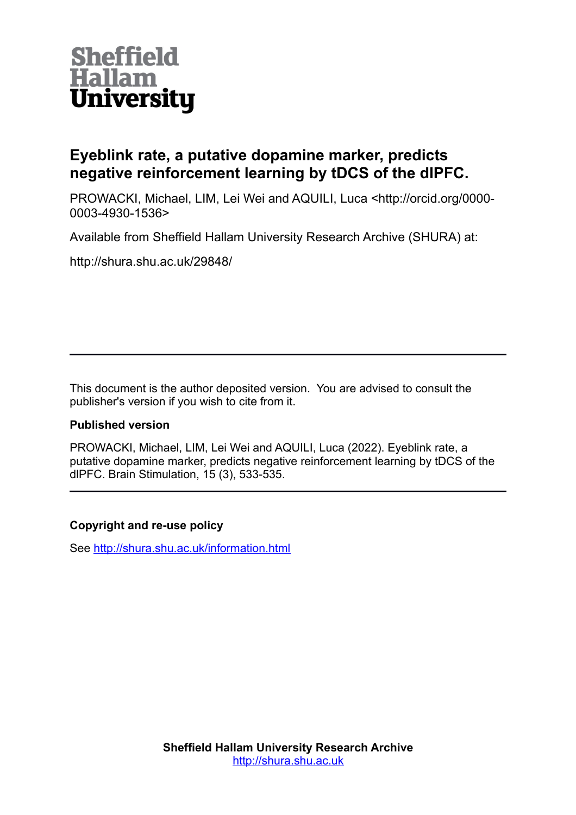

# **Eyeblink rate, a putative dopamine marker, predicts negative reinforcement learning by tDCS of the dlPFC.**

PROWACKI, Michael, LIM, Lei Wei and AQUILI, Luca <http://orcid.org/0000- 0003-4930-1536>

Available from Sheffield Hallam University Research Archive (SHURA) at:

http://shura.shu.ac.uk/29848/

This document is the author deposited version. You are advised to consult the publisher's version if you wish to cite from it.

### **Published version**

PROWACKI, Michael, LIM, Lei Wei and AQUILI, Luca (2022). Eyeblink rate, a putative dopamine marker, predicts negative reinforcement learning by tDCS of the dlPFC. Brain Stimulation, 15 (3), 533-535.

### **Copyright and re-use policy**

See<http://shura.shu.ac.uk/information.html>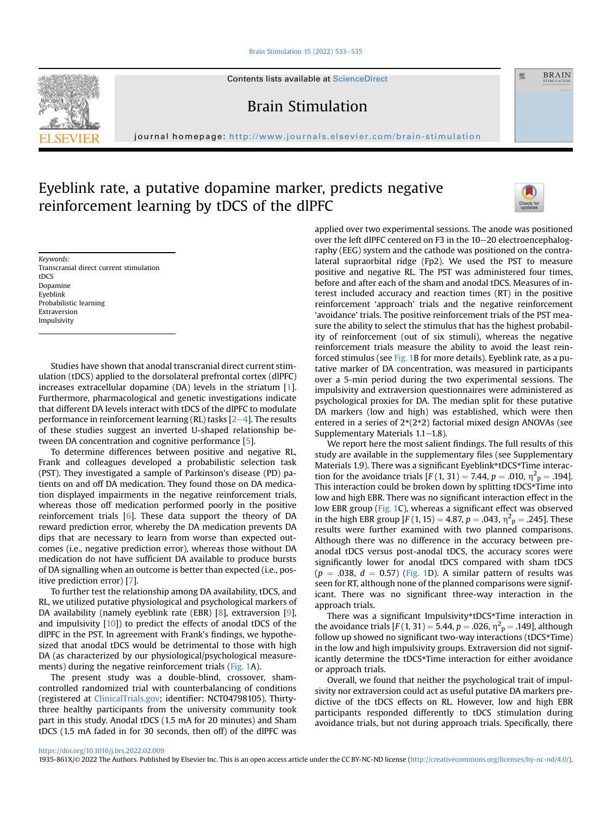#### [Brain Stimulation 15 \(2022\) 533](https://doi.org/10.1016/j.brs.2022.02.009)-[535](https://doi.org/10.1016/j.brs.2022.02.009)



Contents lists available at ScienceDirect

Brain Stimulation

journal homepage: <http://www.journals.elsevier.com/brain-stimulation>

## Eyeblink rate, a putative dopamine marker, predicts negative reinforcement learning by tDCS of the dlPFC



靈

**BRAIN** 

Keywords: Transcranial direct current stimulation tDCS Dopamine Eyeblink Probabilistic learning Extraversion Impulsivity

Studies have shown that anodal transcranial direct current stimulation (tDCS) applied to the dorsolateral prefrontal cortex (dlPFC) increases extracellular dopamine (DA) levels in the striatum [\[1\]](#page-3-0). Furthermore, pharmacological and genetic investigations indicate that different DA levels interact with tDCS of the dlPFC to modulate performance in reinforcement learning (RL) tasks  $[2-4]$  $[2-4]$  $[2-4]$  $[2-4]$  $[2-4]$ . The results of these studies suggest an inverted U-shaped relationship between DA concentration and cognitive performance [\[5](#page-3-2)].

To determine differences between positive and negative RL, Frank and colleagues developed a probabilistic selection task (PST). They investigated a sample of Parkinson's disease (PD) patients on and off DA medication. They found those on DA medication displayed impairments in the negative reinforcement trials, whereas those off medication performed poorly in the positive reinforcement trials [[6\]](#page-3-3). These data support the theory of DA reward prediction error, whereby the DA medication prevents DA dips that are necessary to learn from worse than expected outcomes (i.e., negative prediction error), whereas those without DA medication do not have sufficient DA available to produce bursts of DA signalling when an outcome is better than expected (i.e., positive prediction error) [\[7\]](#page-3-4).

To further test the relationship among DA availability, tDCS, and RL, we utilized putative physiological and psychological markers of DA availability (namely eyeblink rate (EBR) [[8](#page-3-5)], extraversion [\[9\]](#page-3-6), and impulsivity [[10\]](#page-3-7)) to predict the effects of anodal tDCS of the dlPFC in the PST. In agreement with Frank's findings, we hypothesized that anodal tDCS would be detrimental to those with high DA (as characterized by our physiological/psychological measure-ments) during the negative reinforcement trials [\(Fig. 1A](#page-2-0)).

The present study was a double-blind, crossover, shamcontrolled randomized trial with counterbalancing of conditions (registered at [ClinicalTrials.gov](http://ClinicalTrials.gov); identifier: NCT04798105). Thirtythree healthy participants from the university community took part in this study. Anodal tDCS (1.5 mA for 20 minutes) and Sham tDCS (1.5 mA faded in for 30 seconds, then off) of the dlPFC was

applied over two experimental sessions. The anode was positioned over the left dlPFC centered on F3 in the 10-20 electroencephalography (EEG) system and the cathode was positioned on the contralateral supraorbital ridge (Fp2). We used the PST to measure positive and negative RL. The PST was administered four times, before and after each of the sham and anodal tDCS. Measures of interest included accuracy and reaction times (RT) in the positive reinforcement 'approach' trials and the negative reinforcement 'avoidance' trials. The positive reinforcement trials of the PST measure the ability to select the stimulus that has the highest probability of reinforcement (out of six stimuli), whereas the negative reinforcement trials measure the ability to avoid the least reinforced stimulus (see [Fig. 1B](#page-2-0) for more details). Eyeblink rate, as a putative marker of DA concentration, was measured in participants over a 5-min period during the two experimental sessions. The impulsivity and extraversion questionnaires were administered as psychological proxies for DA. The median split for these putative DA markers (low and high) was established, which were then entered in a series of 2\*(2\*2) factorial mixed design ANOVAs (see Supplementary Materials  $1.1-1.8$ ).

We report here the most salient findings. The full results of this study are available in the supplementary files (see Supplementary Materials 1.9). There was a significant Eyeblink\*tDCS\*Time interaction for the avoidance trials  $[F(1, 31) = 7.44, p = .010, \eta^2 p = .194]$ . This interaction could be broken down by splitting tDCS\*Time into low and high EBR. There was no significant interaction effect in the low EBR group [\(Fig. 1C](#page-2-0)), whereas a significant effect was observed in the high EBR group  $[F(1, 15) = 4.87, p = .043, \eta^2 p = .245]$ . These results were further examined with two planned comparisons. Although there was no difference in the accuracy between preanodal tDCS versus post-anodal tDCS, the accuracy scores were significantly lower for anodal tDCS compared with sham tDCS  $(p = .038, d = 0.57)$  [\(Fig. 1](#page-2-0)D). A similar pattern of results was seen for RT, although none of the planned comparisons were significant. There was no significant three-way interaction in the approach trials.

There was a significant Impulsivity\*tDCS\*Time interaction in the avoidance trials  $[F(1, 31) = 5.44, p = .026, \eta^2 p = .149]$ , although follow up showed no significant two-way interactions (tDCS\*Time) in the low and high impulsivity groups. Extraversion did not significantly determine the tDCS\*Time interaction for either avoidance or approach trials.

Overall, we found that neither the psychological trait of impulsivity nor extraversion could act as useful putative DA markers predictive of the tDCS effects on RL. However, low and high EBR participants responded differently to tDCS stimulation during avoidance trials, but not during approach trials. Specifically, there

```
https://doi.org/10.1016/j.brs.2022.02.009
```
1935-861X/© 2022 The Authors. Published by Elsevier Inc. This is an open access article under the CC BY-NC-ND license ([http://creativecommons.org/licenses/by-nc-nd/4.0/\)](http://creativecommons.org/licenses/by-nc-nd/4.0/).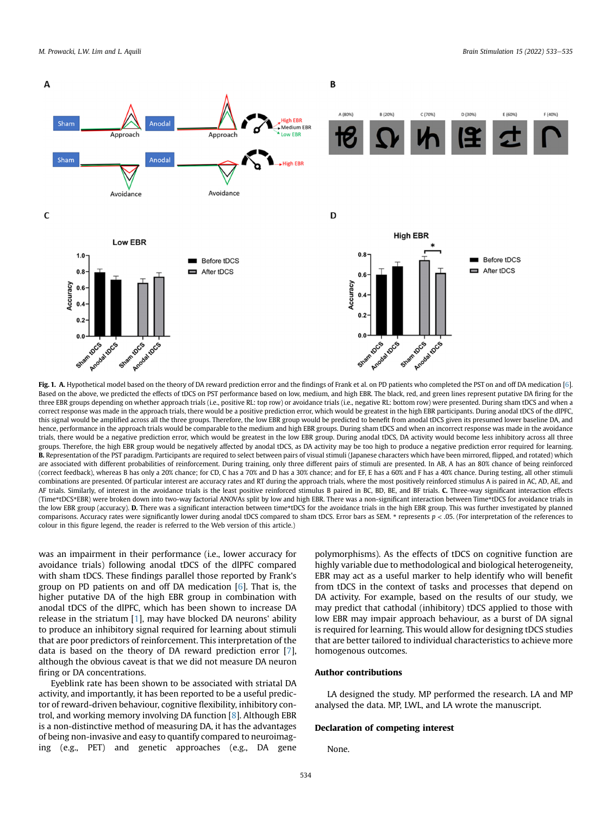<span id="page-2-0"></span>

Fig. 1. A. Hypothetical model based on the theory of DA reward prediction error and the findings of Frank et al. on PD patients who completed the PST on and off DA medication [\[6\]](#page-3-3). Based on the above, we predicted the effects of tDCS on PST performance based on low, medium, and high EBR. The black, red, and green lines represent putative DA firing for the three EBR groups depending on whether approach trials (i.e., positive RL: top row) or avoidance trials (i.e., negative RL: bottom row) were presented. During sham tDCS and when a correct response was made in the approach trials, there would be a positive prediction error, which would be greatest in the high EBR participants. During anodal tDCS of the dlPFC, this signal would be amplified across all the three groups. Therefore, the low EBR group would be predicted to benefit from anodal tDCS given its presumed lower baseline DA, and hence, performance in the approach trials would be comparable to the medium and high EBR groups. During sham tDCS and when an incorrect response was made in the avoidance trials, there would be a negative prediction error, which would be greatest in the low EBR group. During anodal tDCS, DA activity would become less inhibitory across all three groups. Therefore, the high EBR group would be negatively affected by anodal tDCS, as DA activity may be too high to produce a negative prediction error required for learning. B. Representation of the PST paradigm. Participants are required to select between pairs of visual stimuli (Japanese characters which have been mirrored, flipped, and rotated) which are associated with different probabilities of reinforcement. During training, only three different pairs of stimuli are presented. In AB, A has an 80% chance of being reinforced (correct feedback), whereas B has only a 20% chance; for CD, C has a 70% and D has a 30% chance; and for EF, E has a 60% and F has a 40% chance. During testing, all other stimuli combinations are presented. Of particular interest are accuracy rates and RT during the approach trials, where the most positively reinforced stimulus A is paired in AC, AD, AE, and AF trials. Similarly, of interest in the avoidance trials is the least positive reinforced stimulus B paired in BC, BD, BE, and BF trials. C. Three-way significant interaction effects (Time\*tDCS\*EBR) were broken down into two-way factorial ANOVAs split by low and high EBR. There was a non-significant interaction between Time\*tDCS for avoidance trials in the low EBR group (accuracy). D. There was a significant interaction between time\*tDCS for the avoidance trials in the high EBR group. This was further investigated by planned comparisons. Accuracy rates were significantly lower during anodal tDCS compared to sham tDCS. Error bars as SEM. \* represents p < .05. (For interpretation of the references to colour in this figure legend, the reader is referred to the Web version of this article.)

was an impairment in their performance (i.e., lower accuracy for avoidance trials) following anodal tDCS of the dlPFC compared with sham tDCS. These findings parallel those reported by Frank's group on PD patients on and off DA medication [[6](#page-3-3)]. That is, the higher putative DA of the high EBR group in combination with anodal tDCS of the dlPFC, which has been shown to increase DA release in the striatum [[1](#page-3-0)], may have blocked DA neurons' ability to produce an inhibitory signal required for learning about stimuli that are poor predictors of reinforcement. This interpretation of the data is based on the theory of DA reward prediction error [\[7\]](#page-3-4), although the obvious caveat is that we did not measure DA neuron firing or DA concentrations.

Eyeblink rate has been shown to be associated with striatal DA activity, and importantly, it has been reported to be a useful predictor of reward-driven behaviour, cognitive flexibility, inhibitory control, and working memory involving DA function [\[8](#page-3-5)]. Although EBR is a non-distinctive method of measuring DA, it has the advantages of being non-invasive and easy to quantify compared to neuroimaging (e.g., PET) and genetic approaches (e.g., DA gene

polymorphisms). As the effects of tDCS on cognitive function are highly variable due to methodological and biological heterogeneity, EBR may act as a useful marker to help identify who will benefit from tDCS in the context of tasks and processes that depend on DA activity. For example, based on the results of our study, we may predict that cathodal (inhibitory) tDCS applied to those with low EBR may impair approach behaviour, as a burst of DA signal is required for learning. This would allow for designing tDCS studies that are better tailored to individual characteristics to achieve more homogenous outcomes.

#### Author contributions

LA designed the study. MP performed the research. LA and MP analysed the data. MP, LWL, and LA wrote the manuscript.

#### Declaration of competing interest

None.